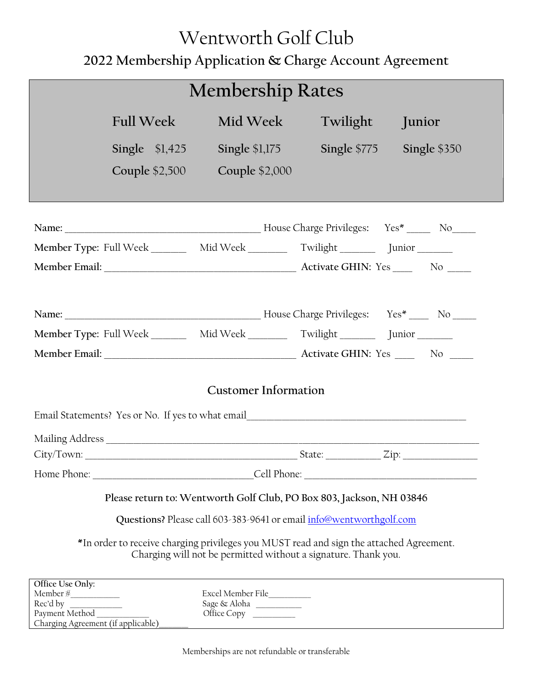## Wentworth Golf Club **2022 Membership Application & Charge Account Agreement**

| <b>Membership Rates</b>                                                                                                                                                                                                                                                                                                                                                                                                                                                                                                                                                                                   |                                                                                           |                                                             |               |              |
|-----------------------------------------------------------------------------------------------------------------------------------------------------------------------------------------------------------------------------------------------------------------------------------------------------------------------------------------------------------------------------------------------------------------------------------------------------------------------------------------------------------------------------------------------------------------------------------------------------------|-------------------------------------------------------------------------------------------|-------------------------------------------------------------|---------------|--------------|
|                                                                                                                                                                                                                                                                                                                                                                                                                                                                                                                                                                                                           | <b>Full Week</b>                                                                          | Mid Week                                                    | Twilight      | Junior       |
|                                                                                                                                                                                                                                                                                                                                                                                                                                                                                                                                                                                                           | Single $$1,425$                                                                           | <b>Single \$1,175</b>                                       | Single $$775$ | Single \$350 |
|                                                                                                                                                                                                                                                                                                                                                                                                                                                                                                                                                                                                           | Couple $$2,500$                                                                           | <b>Couple \$2,000</b>                                       |               |              |
|                                                                                                                                                                                                                                                                                                                                                                                                                                                                                                                                                                                                           |                                                                                           |                                                             |               |              |
|                                                                                                                                                                                                                                                                                                                                                                                                                                                                                                                                                                                                           |                                                                                           |                                                             |               |              |
|                                                                                                                                                                                                                                                                                                                                                                                                                                                                                                                                                                                                           | Member Type: Full Week _________ Mid Week ________ Twilight ________ Junior _______       |                                                             |               |              |
|                                                                                                                                                                                                                                                                                                                                                                                                                                                                                                                                                                                                           |                                                                                           |                                                             |               |              |
|                                                                                                                                                                                                                                                                                                                                                                                                                                                                                                                                                                                                           |                                                                                           |                                                             |               |              |
|                                                                                                                                                                                                                                                                                                                                                                                                                                                                                                                                                                                                           |                                                                                           |                                                             |               |              |
|                                                                                                                                                                                                                                                                                                                                                                                                                                                                                                                                                                                                           | Member Type: Full Week _________ Mid Week __________ Twilight ___________ Junior ________ |                                                             |               |              |
|                                                                                                                                                                                                                                                                                                                                                                                                                                                                                                                                                                                                           |                                                                                           |                                                             |               |              |
| <b>Customer Information</b>                                                                                                                                                                                                                                                                                                                                                                                                                                                                                                                                                                               |                                                                                           |                                                             |               |              |
|                                                                                                                                                                                                                                                                                                                                                                                                                                                                                                                                                                                                           |                                                                                           |                                                             |               |              |
|                                                                                                                                                                                                                                                                                                                                                                                                                                                                                                                                                                                                           |                                                                                           |                                                             |               |              |
|                                                                                                                                                                                                                                                                                                                                                                                                                                                                                                                                                                                                           |                                                                                           |                                                             |               |              |
| Please return to: Wentworth Golf Club, PO Box 803, Jackson, NH 03846<br>Questions? Please call 603-383-9641 or email info@wentworthgolf.com<br>*In order to receive charging privileges you MUST read and sign the attached Agreement.<br>Charging will not be permitted without a signature. Thank you.                                                                                                                                                                                                                                                                                                  |                                                                                           |                                                             |               |              |
| Office Use Only:<br>$\label{eq:em} \vspace{-3mm} \begin{minipage}{0.9\linewidth} \textbf{Member}\,\textit{#}\xspace{\textbf{\#}}\xspace{\textbf{\#}}\xspace{\textbf{\#}}\xspace{\textbf{\#}}\xspace{\textbf{\#}}\xspace{\textbf{\#}}\xspace{\textbf{\#}}\xspace{\textbf{\#}}\xspace{\textbf{\#}}\xspace{\textbf{\#}}\xspace{\textbf{\#}}\xspace{\textbf{\#}}\xspace{\textbf{\#}}\xspace{\textbf{\#}}\xspace{\textbf{\#}}\xspace{\textbf{\#}}\xspace{\textbf{\#}}\xspace{\textbf{\#}}\xspace{\textbf{\#}}\xspace{\textbf{\#}}\x$<br>Rec'd by Payment Method ________<br>Charging Agreement (if applicable) |                                                                                           | Excel Member File___________<br>Sage & Aloha<br>Office Copy |               |              |